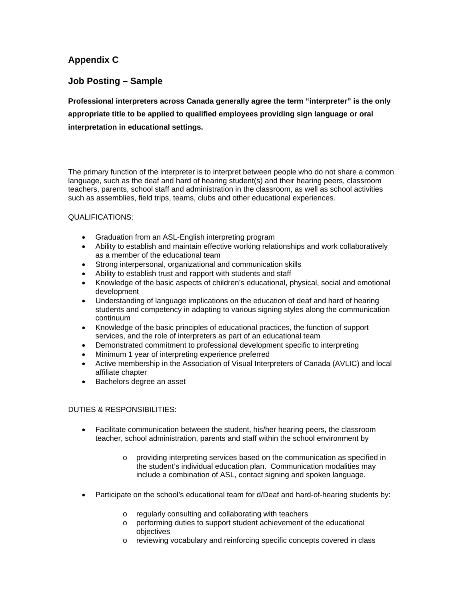## **Appendix C**

## **Job Posting – Sample**

**Professional interpreters across Canada generally agree the term "interpreter" is the only appropriate title to be applied to qualified employees providing sign language or oral interpretation in educational settings.** 

The primary function of the interpreter is to interpret between people who do not share a common language, such as the deaf and hard of hearing student(s) and their hearing peers, classroom teachers, parents, school staff and administration in the classroom, as well as school activities such as assemblies, field trips, teams, clubs and other educational experiences.

## QUALIFICATIONS:

- Graduation from an ASL-English interpreting program
- Ability to establish and maintain effective working relationships and work collaboratively as a member of the educational team
- Strong interpersonal, organizational and communication skills
- Ability to establish trust and rapport with students and staff
- Knowledge of the basic aspects of children's educational, physical, social and emotional development
- Understanding of language implications on the education of deaf and hard of hearing students and competency in adapting to various signing styles along the communication continuum
- Knowledge of the basic principles of educational practices, the function of support services, and the role of interpreters as part of an educational team
- Demonstrated commitment to professional development specific to interpreting
- Minimum 1 year of interpreting experience preferred
- Active membership in the Association of Visual Interpreters of Canada (AVLIC) and local affiliate chapter
- Bachelors degree an asset

## DUTIES & RESPONSIBILITIES:

- Facilitate communication between the student, his/her hearing peers, the classroom teacher, school administration, parents and staff within the school environment by
	- o providing interpreting services based on the communication as specified in the student's individual education plan. Communication modalities may include a combination of ASL, contact signing and spoken language.
- Participate on the school's educational team for d/Deaf and hard-of-hearing students by:
	- o regularly consulting and collaborating with teachers
	- o performing duties to support student achievement of the educational objectives
	- o reviewing vocabulary and reinforcing specific concepts covered in class